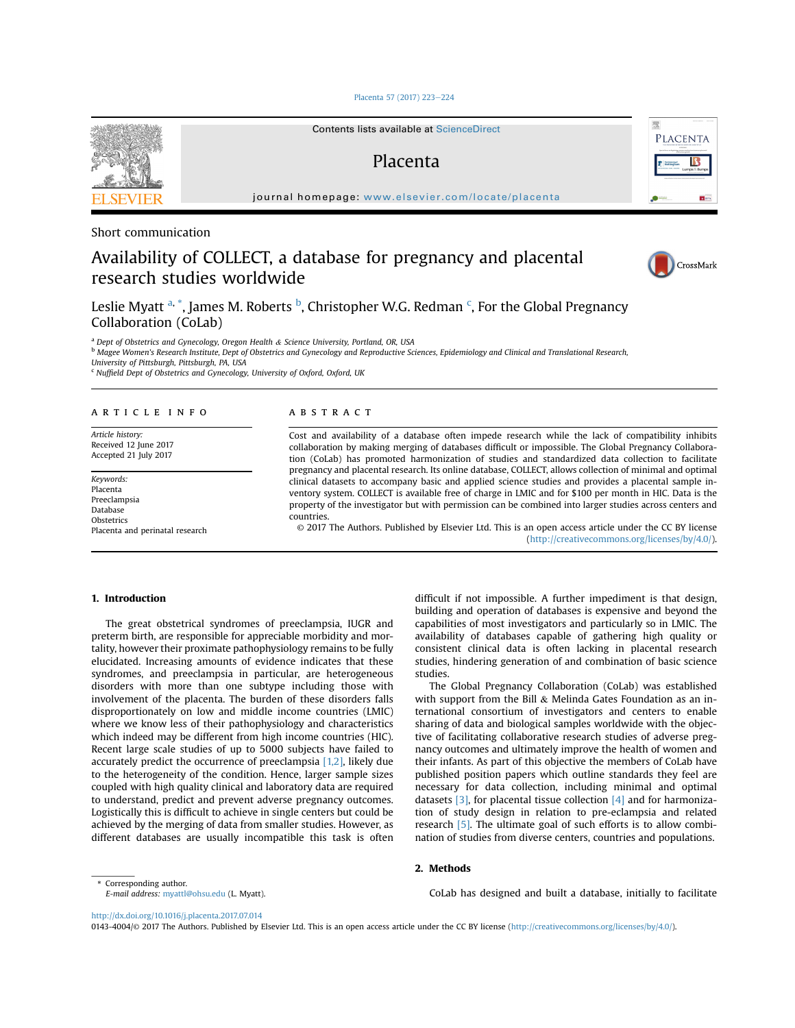### [Placenta 57 \(2017\) 223](http://dx.doi.org/10.1016/j.placenta.2017.07.014)-[224](http://dx.doi.org/10.1016/j.placenta.2017.07.014)



# Short communication

# Availability of COLLECT, a database for pregnancy and placental research studies worldwide



Leslie Myatt <sup>a, \*</sup>, James M. Roberts <sup>b</sup>, Christopher W.G. Redman <sup>c</sup>, For the Global Pregnancy Collaboration (CoLab)

<sup>a</sup> Dept of Obstetrics and Gynecology, Oregon Health & Science University, Portland, OR, USA

<sup>b</sup> Magee Women's Research Institute, Dept of Obstetrics and Gynecology and Reproductive Sciences, Epidemiology and Clinical and Translational Research,

University of Pittsburgh, Pittsburgh, PA, USA

<sup>c</sup> Nuffield Dept of Obstetrics and Gynecology, University of Oxford, Oxford, UK

## article info

Article history: Received 12 June 2017 Accepted 21 July 2017

Keywords: Placenta Preeclampsia Database **Obstetrics** Placenta and perinatal research

#### **ABSTRACT**

Cost and availability of a database often impede research while the lack of compatibility inhibits collaboration by making merging of databases difficult or impossible. The Global Pregnancy Collaboration (CoLab) has promoted harmonization of studies and standardized data collection to facilitate pregnancy and placental research. Its online database, COLLECT, allows collection of minimal and optimal clinical datasets to accompany basic and applied science studies and provides a placental sample inventory system. COLLECT is available free of charge in LMIC and for \$100 per month in HIC. Data is the property of the investigator but with permission can be combined into larger studies across centers and countries.

© 2017 The Authors. Published by Elsevier Ltd. This is an open access article under the CC BY license [\(http://creativecommons.org/licenses/by/4.0/](http://creativecommons.org/licenses/by/4.0/)).

# 1. Introduction

The great obstetrical syndromes of preeclampsia, IUGR and preterm birth, are responsible for appreciable morbidity and mortality, however their proximate pathophysiology remains to be fully elucidated. Increasing amounts of evidence indicates that these syndromes, and preeclampsia in particular, are heterogeneous disorders with more than one subtype including those with involvement of the placenta. The burden of these disorders falls disproportionately on low and middle income countries (LMIC) where we know less of their pathophysiology and characteristics which indeed may be different from high income countries (HIC). Recent large scale studies of up to 5000 subjects have failed to accurately predict the occurrence of preeclampsia [1,2], likely due to the heterogeneity of the condition. Hence, larger sample sizes coupled with high quality clinical and laboratory data are required to understand, predict and prevent adverse pregnancy outcomes. Logistically this is difficult to achieve in single centers but could be achieved by the merging of data from smaller studies. However, as different databases are usually incompatible this task is often difficult if not impossible. A further impediment is that design, building and operation of databases is expensive and beyond the capabilities of most investigators and particularly so in LMIC. The availability of databases capable of gathering high quality or consistent clinical data is often lacking in placental research studies, hindering generation of and combination of basic science studies.

The Global Pregnancy Collaboration (CoLab) was established with support from the Bill & Melinda Gates Foundation as an international consortium of investigators and centers to enable sharing of data and biological samples worldwide with the objective of facilitating collaborative research studies of adverse pregnancy outcomes and ultimately improve the health of women and their infants. As part of this objective the members of CoLab have published position papers which outline standards they feel are necessary for data collection, including minimal and optimal datasets  $[3]$ , for placental tissue collection  $[4]$  and for harmonization of study design in relation to pre-eclampsia and related research [5]. The ultimate goal of such efforts is to allow combination of studies from diverse centers, countries and populations.

## 2. Methods

CoLab has designed and built a database, initially to facilitate

<http://dx.doi.org/10.1016/j.placenta.2017.07.014>

E-mail address: [myattl@ohsu.edu](mailto:myattl@ohsu.edu) (L. Myatt).

\* Corresponding author.

0143-4004/© 2017 The Authors. Published by Elsevier Ltd. This is an open access article under the CC BY license [\(http://creativecommons.org/licenses/by/4.0/](http://creativecommons.org/licenses/by/4.0/)).